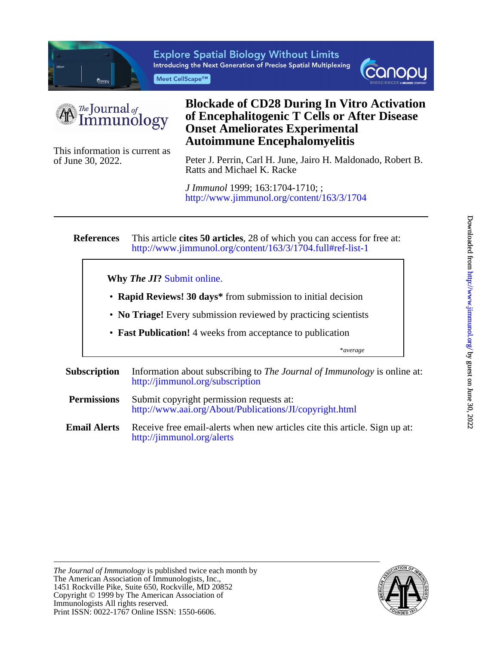

**Explore Spatial Biology Without Limits** Introducing the Next Generation of Precise Spatial Multiplexing Meet CellScape™





of June 30, 2022.

## This information is current as **Autoimmune Encephalomyelitis Onset Ameliorates Experimental of Encephalitogenic T Cells or After Disease Blockade of CD28 During In Vitro Activation**

Ratts and Michael K. Racke Peter J. Perrin, Carl H. June, Jairo H. Maldonado, Robert B.

<http://www.jimmunol.org/content/163/3/1704> *J Immunol* 1999; 163:1704-1710; ;

#### **References** <http://www.jimmunol.org/content/163/3/1704.full#ref-list-1> This article **cites 50 articles**, 28 of which you can access for free at:

### **Why** *The JI***?** [Submit online.](https://ji.msubmit.net)

- **Rapid Reviews! 30 days\*** from submission to initial decision
- **No Triage!** Every submission reviewed by practicing scientists
- **Fast Publication!** 4 weeks from acceptance to publication

\**average*

- **Subscription** <http://jimmunol.org/subscription> Information about subscribing to *The Journal of Immunology* is online at:
- **Permissions** <http://www.aai.org/About/Publications/JI/copyright.html> Submit copyright permission requests at:
- **Email Alerts** <http://jimmunol.org/alerts> Receive free email-alerts when new articles cite this article. Sign up at:

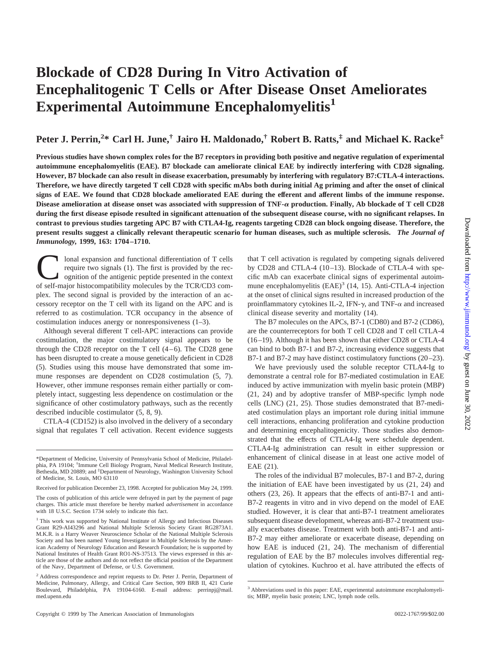# **Blockade of CD28 During In Vitro Activation of Encephalitogenic T Cells or After Disease Onset Ameliorates Experimental Autoimmune Encephalomyelitis1**

## **Peter J. Perrin,<sup>2</sup> \* Carl H. June,† Jairo H. Maldonado,† Robert B. Ratts,‡ and Michael K. Racke‡**

**Previous studies have shown complex roles for the B7 receptors in providing both positive and negative regulation of experimental autoimmune encephalomyelitis (EAE). B7 blockade can ameliorate clinical EAE by indirectly interfering with CD28 signaling. However, B7 blockade can also result in disease exacerbation, presumably by interfering with regulatory B7:CTLA-4 interactions. Therefore, we have directly targeted T cell CD28 with specific mAbs both during initial Ag priming and after the onset of clinical signs of EAE. We found that CD28 blockade ameliorated EAE during the efferent and afferent limbs of the immune response. Disease amelioration at disease onset was associated with suppression of TNF-**<sup>a</sup> **production. Finally, Ab blockade of T cell CD28 during the first disease episode resulted in significant attenuation of the subsequent disease course, with no significant relapses. In contrast to previous studies targeting APC B7 with CTLA4-Ig, reagents targeting CD28 can block ongoing disease. Therefore, the present results suggest a clinically relevant therapeutic scenario for human diseases, such as multiple sclerosis.** *The Journal of Immunology,* **1999, 163: 1704–1710.**

Ional expansion and functional differentiation of T cells<br>require two signals (1). The first is provided by the rec-<br>ognition of the antigenic peptide presented in the context<br>of self-maior histocompatibility molecules by require two signals (1). The first is provided by the recognition of the antigenic peptide presented in the context of self-major histocompatibility molecules by the TCR/CD3 complex. The second signal is provided by the interaction of an accessory receptor on the T cell with its ligand on the APC and is referred to as costimulation. TCR occupancy in the absence of costimulation induces anergy or nonresponsiveness (1–3).

Although several different T cell-APC interactions can provide costimulation, the major costimulatory signal appears to be through the CD28 receptor on the T cell  $(4-6)$ . The CD28 gene has been disrupted to create a mouse genetically deficient in CD28 (5). Studies using this mouse have demonstrated that some immune responses are dependent on CD28 costimulation (5, 7). However, other immune responses remain either partially or completely intact, suggesting less dependence on costimulation or the significance of other costimulatory pathways, such as the recently described inducible costimulator (5, 8, 9).

CTLA-4 (CD152) is also involved in the delivery of a secondary signal that regulates T cell activation. Recent evidence suggests that T cell activation is regulated by competing signals delivered by CD28 and CTLA-4 (10–13). Blockade of CTLA-4 with specific mAb can exacerbate clinical signs of experimental autoimmune encephalomyelitis  $(EAE)^3$  (14, 15). Anti-CTLA-4 injection at the onset of clinical signs resulted in increased production of the proinflammatory cytokines IL-2, IFN- $\gamma$ , and TNF- $\alpha$  and increased clinical disease severity and mortality (14).

The B7 molecules on the APCs, B7-1 (CD80) and B7-2 (CD86), are the counterreceptors for both T cell CD28 and T cell CTLA-4 (16–19). Although it has been shown that either CD28 or CTLA-4 can bind to both B7-1 and B7-2, increasing evidence suggests that B7-1 and B7-2 may have distinct costimulatory functions (20–23).

We have previously used the soluble receptor CTLA4-Ig to demonstrate a central role for B7-mediated costimulation in EAE induced by active immunization with myelin basic protein (MBP) (21, 24) and by adoptive transfer of MBP-specific lymph node cells (LNC) (21, 25). Those studies demonstrated that B7-mediated costimulation plays an important role during initial immune cell interactions, enhancing proliferation and cytokine production and determining encephalitogenicity. Those studies also demonstrated that the effects of CTLA4-Ig were schedule dependent. CTLA4-Ig administration can result in either suppression or enhancement of clinical disease in at least one active model of EAE (21).

The roles of the individual B7 molecules, B7-1 and B7-2, during the initiation of EAE have been investigated by us (21, 24) and others (23, 26). It appears that the effects of anti-B7-1 and anti-B7-2 reagents in vitro and in vivo depend on the model of EAE studied. However, it is clear that anti-B7-1 treatment ameliorates subsequent disease development, whereas anti-B7-2 treatment usually exacerbates disease. Treatment with both anti-B7-1 and anti-B7-2 may either ameliorate or exacerbate disease, depending on how EAE is induced (21, 24). The mechanism of differential regulation of EAE by the B7 molecules involves differential regulation of cytokines. Kuchroo et al. have attributed the effects of

<sup>\*</sup>Department of Medicine, University of Pennsylvania School of Medicine, Philadelphia, PA 19104; † Immune Cell Biology Program, Naval Medical Research Institute, Bethesda, MD 20889; and ‡ Department of Neurology, Washington University School of Medicine, St. Louis, MO 63110

Received for publication December 23, 1998. Accepted for publication May 24, 1999.

The costs of publication of this article were defrayed in part by the payment of page charges. This article must therefore be hereby marked *advertisement* in accordance with 18 U.S.C. Section 1734 solely to indicate this fact.

<sup>&</sup>lt;sup>1</sup> This work was supported by National Institute of Allergy and Infectious Diseases Grant R29-AI43296 and National Multiple Sclerosis Society Grant RG2873A1. M.K.R. is a Harry Weaver Neuroscience Scholar of the National Multiple Sclerosis Society and has been named Young Investigator in Multiple Sclerosis by the American Academy of Neurology Education and Research Foundation; he is supported by National Institutes of Health Grant RO1-NS-37513. The views expressed in this article are those of the authors and do not reflect the official position of the Department of the Navy, Department of Defense, or U.S. Government.

<sup>2</sup> Address correspondence and reprint requests to Dr. Peter J. Perrin, Department of Medicine, Pulmonary, Allergy, and Critical Care Section, 909 BRB II, 421 Curie Boulevard, Philadelphia, PA 19104-6160. E-mail address: perrinpj@mail. med.upenn.edu

<sup>&</sup>lt;sup>3</sup> Abbreviations used in this paper: EAE, experimental autoimmune encephalomyelitis; MBP, myelin basic protein; LNC, lymph node cells.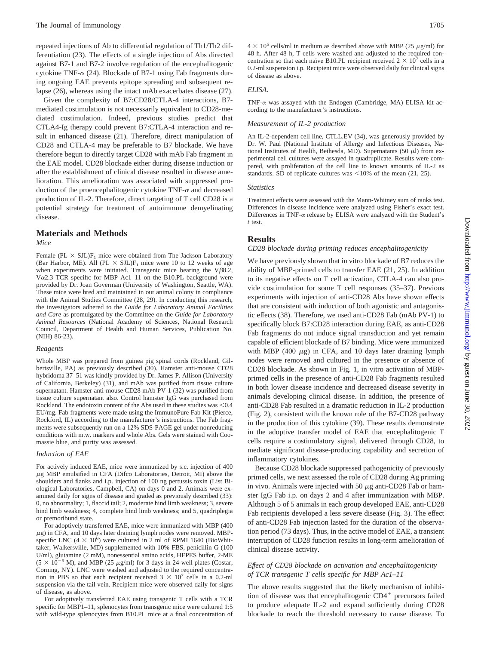repeated injections of Ab to differential regulation of Th1/Th2 differentiation (23). The effects of a single injection of Abs directed against B7-1 and B7-2 involve regulation of the encephalitogenic cytokine TNF- $\alpha$  (24). Blockade of B7-1 using Fab fragments during ongoing EAE prevents epitope spreading and subsequent relapse (26), whereas using the intact mAb exacerbates disease (27).

Given the complexity of B7:CD28/CTLA-4 interactions, B7 mediated costimulation is not necessarily equivalent to CD28-mediated costimulation. Indeed, previous studies predict that CTLA4-Ig therapy could prevent B7:CTLA-4 interaction and result in enhanced disease (21). Therefore, direct manipulation of CD28 and CTLA-4 may be preferable to B7 blockade. We have therefore begun to directly target CD28 with mAb Fab fragment in the EAE model. CD28 blockade either during disease induction or after the establishment of clinical disease resulted in disease amelioration. This amelioration was associated with suppressed production of the proencephalitogenic cytokine  $TNF-\alpha$  and decreased production of IL-2. Therefore, direct targeting of T cell CD28 is a potential strategy for treatment of autoimmune demyelinating disease.

#### **Materials and Methods**

*Mice*

Female (PL  $\times$  SJL)F<sub>1</sub> mice were obtained from The Jackson Laboratory (Bar Harbor, ME). All (PL  $\times$  SJL)F<sub>1</sub> mice were 10 to 12 weeks of age when experiments were initiated. Transgenic mice bearing the V $\beta$ 8.2, V $\alpha$ 2.3 TCR specific for MBP Ac1–11 on the B10.PL background were provided by Dr. Joan Goverman (University of Washington, Seattle, WA). These mice were bred and maintained in our animal colony in compliance with the Animal Studies Committee (28, 29). In conducting this research, the investigators adhered to the *Guide for Laboratory Animal Facilities and Care* as promulgated by the Committee on the *Guide for Laboratory Animal Resources* (National Academy of Sciences, National Research Council, Department of Health and Human Services, Publication No. (NIH) 86-23).

#### *Reagents*

Whole MBP was prepared from guinea pig spinal cords (Rockland, Gilbertsville, PA) as previously described (30). Hamster anti-mouse CD28 hybridoma 37–51 was kindly provided by Dr. James P. Allison (University of California, Berkeley) (31), and mAb was purified from tissue culture supernatant. Hamster anti-mouse CD28 mAb PV-1 (32) was purified from tissue culture supernatant also. Control hamster IgG was purchased from Rockland. The endotoxin content of the Abs used in these studies was  $< 0.4$ EU/mg. Fab fragments were made using the ImmunoPure Fab Kit (Pierce, Rockford, IL) according to the manufacturer's instructions. The Fab fragments were subsequently run on a 12% SDS-PAGE gel under nonreducing conditions with m.w. markers and whole Abs. Gels were stained with Coomassie blue, and purity was assessed.

#### *Induction of EAE*

For actively induced EAE, mice were immunized by s.c. injection of 400  $\mu$ g MBP emulsified in CFA (Difco Laboratories, Detroit, MI) above the shoulders and flanks and i.p. injection of 100 ng pertussis toxin (List Biological Laboratories, Campbell, CA) on days 0 and 2. Animals were examined daily for signs of disease and graded as previously described (33): 0, no abnormality; 1, flaccid tail; 2, moderate hind limb weakness; 3, severe hind limb weakness; 4, complete hind limb weakness; and 5, quadriplegia or premoribund state.

For adoptively transferred EAE, mice were immunized with MBP (400  $\mu$ g) in CFA, and 10 days later draining lymph nodes were removed. MBPspecific LNC (4  $\times$  10<sup>6</sup>) were cultured in 2 ml of RPMI 1640 (BioWhittaker, Walkersville, MD) supplemented with 10% FBS, penicillin G (100 U/ml), glutamine (2 mM), nonessential amino acids, HEPES buffer, 2-ME  $(5 \times 10^{-5}$  M), and MBP (25  $\mu$ g/ml) for 3 days in 24-well plates (Costar, Corning, NY). LNC were washed and adjusted to the required concentration in PBS so that each recipient received  $3 \times 10^7$  cells in a 0.2-ml suspension via the tail vein. Recipient mice were observed daily for signs of disease, as above.

For adoptively transferred EAE using transgenic T cells with a TCR specific for MBP1–11, splenocytes from transgenic mice were cultured 1:5 with wild-type splenocytes from B10.PL mice at a final concentration of  $4 \times 10^6$  cells/ml in medium as described above with MBP (25  $\mu$ g/ml) for 48 h. After 48 h, T cells were washed and adjusted to the required concentration so that each naı̈ve B10.PL recipient received  $2 \times 10^7$  cells in a 0.2-ml suspension i.p. Recipient mice were observed daily for clinical signs of disease as above.

#### *ELISA.*

TNF- $\alpha$  was assayed with the Endogen (Cambridge, MA) ELISA kit according to the manufacturer's instructions.

#### *Measurement of IL-2 production*

An IL-2-dependent cell line, CTLL.EV (34), was generously provided by Dr. W. Paul (National Institute of Allergy and Infectious Diseases, National Institutes of Health, Bethesda, MD). Supernatants (50  $\mu$ l) from experimental cell cultures were assayed in quadruplicate. Results were compared, with proliferation of the cell line to known amounts of IL-2 as standards. SD of replicate cultures was  $\leq 10\%$  of the mean (21, 25).

#### *Statistics*

Treatment effects were assessed with the Mann-Whitney sum of ranks test. Differences in disease incidence were analyzed using Fisher's exact test. Differences in TNF- $\alpha$  release by ELISA were analyzed with the Student's *t* test.

#### **Results**

#### *CD28 blockade during priming reduces encephalitogenicity*

We have previously shown that in vitro blockade of B7 reduces the ability of MBP-primed cells to transfer EAE (21, 25). In addition to its negative effects on T cell activation, CTLA-4 can also provide costimulation for some T cell responses (35–37). Previous experiments with injection of anti-CD28 Abs have shown effects that are consistent with induction of both agonistic and antagonistic effects (38). Therefore, we used anti-CD28 Fab (mAb PV-1) to specifically block B7:CD28 interaction during EAE, as anti-CD28 Fab fragments do not induce signal transduction and yet remain capable of efficient blockade of B7 binding. Mice were immunized with MBP (400  $\mu$ g) in CFA, and 10 days later draining lymph nodes were removed and cultured in the presence or absence of CD28 blockade. As shown in Fig. 1, in vitro activation of MBPprimed cells in the presence of anti-CD28 Fab fragments resulted in both lower disease incidence and decreased disease severity in animals developing clinical disease. In addition, the presence of anti-CD28 Fab resulted in a dramatic reduction in IL-2 production (Fig. 2), consistent with the known role of the B7-CD28 pathway in the production of this cytokine (39). These results demonstrate in the adoptive transfer model of EAE that encephalitogenic T cells require a costimulatory signal, delivered through CD28, to mediate significant disease-producing capability and secretion of inflammatory cytokines.

Because CD28 blockade suppressed pathogenicity of previously primed cells, we next assessed the role of CD28 during Ag priming in vivo. Animals were injected with 50  $\mu$ g anti-CD28 Fab or hamster IgG Fab i.p. on days 2 and 4 after immunization with MBP. Although 5 of 5 animals in each group developed EAE, anti-CD28 Fab recipients developed a less severe disease (Fig. 3). The effect of anti-CD28 Fab injection lasted for the duration of the observation period (73 days). Thus, in the active model of EAE, a transient interruption of CD28 function results in long-term amelioration of clinical disease activity.

#### *Effect of CD28 blockade on activation and encephalitogenicity of TCR transgenic T cells specific for MBP Ac1–11*

The above results suggested that the likely mechanism of inhibition of disease was that encephalitogenic  $CD4^+$  precursors failed to produce adequate IL-2 and expand sufficiently during CD28 blockade to reach the threshold necessary to cause disease. To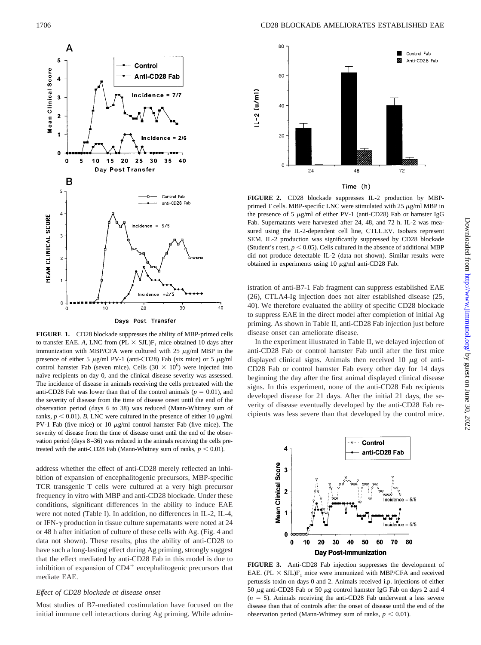

**FIGURE 1.** CD28 blockade suppresses the ability of MBP-primed cells to transfer EAE. A, LNC from  $(PL \times SL)F_1$  mice obtained 10 days after immunization with MBP/CFA were cultured with 25  $\mu$ g/ml MBP in the presence of either 5  $\mu$ g/ml PV-1 (anti-CD28) Fab (six mice) or 5  $\mu$ g/ml control hamster Fab (seven mice). Cells  $(30 \times 10^6)$  were injected into naïve recipients on day 0, and the clinical disease severity was assessed. The incidence of disease in animals receiving the cells pretreated with the anti-CD28 Fab was lower than that of the control animals ( $p = 0.01$ ), and the severity of disease from the time of disease onset until the end of the observation period (days 6 to 38) was reduced (Mann-Whitney sum of ranks,  $p < 0.01$ ). *B*, LNC were cultured in the presence of either 10  $\mu$ g/ml PV-1 Fab (five mice) or 10  $\mu$ g/ml control hamster Fab (five mice). The severity of disease from the time of disease onset until the end of the observation period (days 8–36) was reduced in the animals receiving the cells pretreated with the anti-CD28 Fab (Mann-Whitney sum of ranks,  $p < 0.01$ ).

address whether the effect of anti-CD28 merely reflected an inhibition of expansion of encephalitogenic precursors, MBP-specific TCR transgenic T cells were cultured at a very high precursor frequency in vitro with MBP and anti-CD28 blockade. Under these conditions, significant differences in the ability to induce EAE were not noted (Table I). In addition, no differences in IL-2, IL-4, or IFN- $\gamma$  production in tissue culture supernatants were noted at 24 or 48 h after initiation of culture of these cells with Ag. (Fig. 4 and data not shown). These results, plus the ability of anti-CD28 to have such a long-lasting effect during Ag priming, strongly suggest that the effect mediated by anti-CD28 Fab in this model is due to inhibition of expansion of  $CD4<sup>+</sup>$  encephalitogenic precursors that mediate EAE.

#### *Effect of CD28 blockade at disease onset*

Most studies of B7-mediated costimulation have focused on the initial immune cell interactions during Ag priming. While admin-



**FIGURE 2.** CD28 blockade suppresses IL-2 production by MBPprimed T cells. MBP-specific LNC were stimulated with 25  $\mu$ g/ml MBP in the presence of 5  $\mu$ g/ml of either PV-1 (anti-CD28) Fab or hamster IgG Fab. Supernatants were harvested after 24, 48, and 72 h. IL-2 was measured using the IL-2-dependent cell line, CTLL.EV. Isobars represent SEM. IL-2 production was significantly suppressed by CD28 blockade (Student's  $t$  test,  $p < 0.05$ ). Cells cultured in the absence of additional MBP did not produce detectable IL-2 (data not shown). Similar results were obtained in experiments using 10  $\mu$ g/ml anti-CD28 Fab.

istration of anti-B7-1 Fab fragment can suppress established EAE (26), CTLA4-Ig injection does not alter established disease (25, 40). We therefore evaluated the ability of specific CD28 blockade to suppress EAE in the direct model after completion of initial Ag priming. As shown in Table II, anti-CD28 Fab injection just before disease onset can ameliorate disease.

In the experiment illustrated in Table II, we delayed injection of anti-CD28 Fab or control hamster Fab until after the first mice displayed clinical signs. Animals then received 10  $\mu$ g of anti-CD28 Fab or control hamster Fab every other day for 14 days beginning the day after the first animal displayed clinical disease signs. In this experiment, none of the anti-CD28 Fab recipients developed disease for 21 days. After the initial 21 days, the severity of disease eventually developed by the anti-CD28 Fab recipients was less severe than that developed by the control mice.



**FIGURE 3.** Anti-CD28 Fab injection suppresses the development of EAE. (PL  $\times$  SJL)F<sub>1</sub> mice were immunized with MBP/CFA and received pertussis toxin on days 0 and 2. Animals received i.p. injections of either 50  $\mu$ g anti-CD28 Fab or 50  $\mu$ g control hamster IgG Fab on days 2 and 4  $(n = 5)$ . Animals receiving the anti-CD28 Fab underwent a less severe disease than that of controls after the onset of disease until the end of the observation period (Mann-Whitney sum of ranks,  $p < 0.01$ ).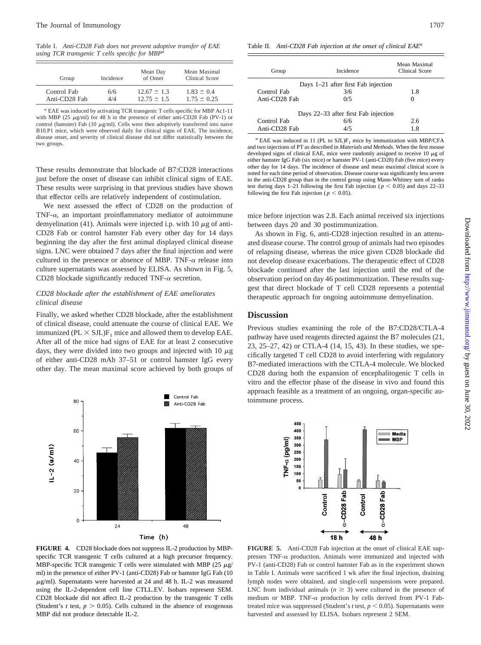Table I. *Anti-CD28 Fab does not prevent adoptive transfer of EAE using TCR transgenic T cells specific for MBPa*

| Group         | Incidence | Mean Day<br>of Onset | Mean Maximal<br>Clinical Score |
|---------------|-----------|----------------------|--------------------------------|
| Control Fab   | 6/6       | $12.67 \pm 1.3$      | $1.83 + 0.4$                   |
| Anti-CD28 Fab | 4/4       | $12.75 + 1.5$        | $1.75 + 0.25$                  |

*<sup>a</sup>* EAE was induced by activating TCR transgenic T cells specific for MBP Ac1-11 with MBP (25  $\mu$ g/ml) for 48 h in the presence of either anti-CD28 Fab (PV-1) or control (hamster) Fab (10  $\mu$ g/ml). Cells were then adoptively transferred into naive B10.P1 mice, which were observed daily for clinical signs of EAE. The incidence, disease onset, and severity of clinical disease did not differ statistically between the two groups.

These results demonstrate that blockade of B7:CD28 interactions just before the onset of disease can inhibit clinical signs of EAE. These results were surprising in that previous studies have shown that effector cells are relatively independent of costimulation.

We next assessed the effect of CD28 on the production of TNF- $\alpha$ , an important proinflammatory mediator of autoimmune demyelination (41). Animals were injected i.p. with 10  $\mu$ g of anti-CD28 Fab or control hamster Fab every other day for 14 days beginning the day after the first animal displayed clinical disease signs. LNC were obtained 7 days after the final injection and were cultured in the presence or absence of MBP. TNF- $\alpha$  release into culture supernatants was assessed by ELISA. As shown in Fig. 5, CD28 blockade significantly reduced TNF- $\alpha$  secretion.

#### *CD28 blockade after the establishment of EAE ameliorates clinical disease*

Finally, we asked whether CD28 blockade, after the establishment of clinical disease, could attenuate the course of clinical EAE. We immunized ( $PL \times SJL$ )F<sub>1</sub> mice and allowed them to develop EAE. After all of the mice had signs of EAE for at least 2 consecutive days, they were divided into two groups and injected with 10  $\mu$ g of either anti-CD28 mAb 37–51 or control hamster IgG every other day. The mean maximal score achieved by both groups of



MBP-specific TCR transgenic T cells were stimulated with MBP (25  $\mu$ g/ ml) in the presence of either PV-1 (anti-CD28) Fab or hamster IgG Fab (10  $\mu$ g/ml). Supernatants were harvested at 24 and 48 h. IL-2 was measured using the IL-2-dependent cell line CTLL.EV. Isobars represent SEM. CD28 blockade did not affect IL-2 production by the transgenic T cells (Student's *t* test,  $p > 0.05$ ). Cells cultured in the absence of exogenous MBP did not produce detectable IL-2.

| Group                               | Incidence                            | Mean Maximal<br><b>Clinical Score</b> |  |  |
|-------------------------------------|--------------------------------------|---------------------------------------|--|--|
| Days 1-21 after first Fab injection |                                      |                                       |  |  |
| Control Fab                         | 3/6                                  | 1.8                                   |  |  |
| Anti-CD28 Fab                       | 0/5                                  | $\Omega$                              |  |  |
|                                     | Days 22–33 after first Fab injection |                                       |  |  |
| Control Fab                         | 6/6                                  | 2.6                                   |  |  |
| Anti-CD28 Fab                       | 4/5                                  | 1.8                                   |  |  |

 $a$  EAE was induced in 11 (PL to SJL) $F_1$  mice by immunization with MBP/CFA and two injections of PT as described in *Materials and Methods.* When the first mouse developed signs of clinical EAE, mice were randomly assigned to receive 10  $\mu$ g of either hamster IgG Fab (six mice) or hamster PV-1 (anti-CD28) Fab (five mice) every other day for 14 days. The incidence of disease and mean maximal clinical score is noted for each time period of observation. Disease course was significantly less severe in the anti-CD28 group than in the control group using Mann-Whitney sum of ranks test during days 1–21 following the first Fab injection ( $p < 0.05$ ) and days 22–33 following the first Fab injection ( $p < 0.05$ ).

mice before injection was 2.8. Each animal received six injections between days 20 and 30 postimmunization.

As shown in Fig. 6, anti-CD28 injection resulted in an attenuated disease course. The control group of animals had two episodes of relapsing disease, whereas the mice given CD28 blockade did not develop disease exacerbations. The therapeutic effect of CD28 blockade continued after the last injection until the end of the observation period on day 46 postimmunization. These results suggest that direct blockade of T cell CD28 represents a potential therapeutic approach for ongoing autoimmune demyelination.

#### **Discussion**

Previous studies examining the role of the B7:CD28/CTLA-4 pathway have used reagents directed against the B7 molecules (21, 23, 25–27, 42) or CTLA-4 (14, 15, 43). In these studies, we specifically targeted T cell CD28 to avoid interfering with regulatory B7-mediated interactions with the CTLA-4 molecule. We blocked CD28 during both the expansion of encephalitogenic T cells in vitro and the effector phase of the disease in vivo and found this approach feasible as a treatment of an ongoing, organ-specific autoimmune process.



**FIGURE 5.** Anti-CD28 Fab injection at the onset of clinical EAE suppresses  $TNF-\alpha$  production. Animals were immunized and injected with PV-1 (anti-CD28) Fab or control hamster Fab as in the experiment shown in Table I. Animals were sacrificed 1 wk after the final injection, draining lymph nodes were obtained, and single-cell suspensions were prepared. LNC from individual animals ( $n \geq 3$ ) were cultured in the presence of medium or MBP. TNF- $\alpha$  production by cells derived from PV-1 Fabtreated mice was suppressed (Student's  $t$  test,  $p < 0.05$ ). Supernatants were harvested and assessed by ELISA. Isobars represent 2 SEM.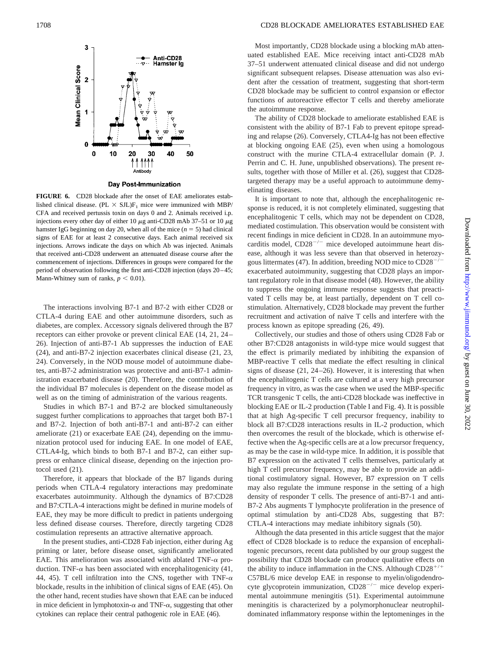

Day Post-Immunization

**FIGURE 6.** CD28 blockade after the onset of EAE ameliorates established clinical disease. (PL  $\times$  SJL)F<sub>1</sub> mice were immunized with MBP/ CFA and received pertussis toxin on days 0 and 2. Animals received i.p. injections every other day of either 10  $\mu$ g anti-CD28 mAb 37–51 or 10  $\mu$ g hamster IgG beginning on day 20, when all of the mice  $(n = 5)$  had clinical signs of EAE for at least 2 consecutive days. Each animal received six injections. Arrows indicate the days on which Ab was injected. Animals that received anti-CD28 underwent an attenuated disease course after the commencement of injections. Differences in groups were compared for the period of observation following the first anti-CD28 injection (days 20–45; Mann-Whitney sum of ranks,  $p < 0.01$ ).

The interactions involving B7-1 and B7-2 with either CD28 or CTLA-4 during EAE and other autoimmune disorders, such as diabetes, are complex. Accessory signals delivered through the B7 receptors can either provoke or prevent clinical EAE (14, 21, 24– 26). Injection of anti-B7-1 Ab suppresses the induction of EAE (24), and anti-B7-2 injection exacerbates clinical disease (21, 23, 24). Conversely, in the NOD mouse model of autoimmune diabetes, anti-B7-2 administration was protective and anti-B7-1 administration exacerbated disease (20). Therefore, the contribution of the individual B7 molecules is dependent on the disease model as well as on the timing of administration of the various reagents.

Studies in which B7-1 and B7-2 are blocked simultaneously suggest further complications to approaches that target both B7-1 and B7-2. Injection of both anti-B7-1 and anti-B7-2 can either ameliorate (21) or exacerbate EAE (24), depending on the immunization protocol used for inducing EAE. In one model of EAE, CTLA4-Ig, which binds to both B7-1 and B7-2, can either suppress or enhance clinical disease, depending on the injection protocol used (21).

Therefore, it appears that blockade of the B7 ligands during periods when CTLA-4 regulatory interactions may predominate exacerbates autoimmunity. Although the dynamics of B7:CD28 and B7:CTLA-4 interactions might be defined in murine models of EAE, they may be more difficult to predict in patients undergoing less defined disease courses. Therefore, directly targeting CD28 costimulation represents an attractive alternative approach.

In the present studies, anti-CD28 Fab injection, either during Ag priming or later, before disease onset, significantly ameliorated EAE. This amelioration was associated with ablated TNF- $\alpha$  production. TNF- $\alpha$  has been associated with encephalitogenicity (41, 44, 45). T cell infiltration into the CNS, together with TNF- $\alpha$ blockade, results in the inhibition of clinical signs of EAE (45). On the other hand, recent studies have shown that EAE can be induced in mice deficient in lymphotoxin- $\alpha$  and TNF- $\alpha$ , suggesting that other cytokines can replace their central pathogenic role in EAE (46).

Most importantly, CD28 blockade using a blocking mAb attenuated established EAE. Mice receiving intact anti-CD28 mAb 37–51 underwent attenuated clinical disease and did not undergo significant subsequent relapses. Disease attenuation was also evident after the cessation of treatment, suggesting that short-term CD28 blockade may be sufficient to control expansion or effector functions of autoreactive effector T cells and thereby ameliorate the autoimmune response.

The ability of CD28 blockade to ameliorate established EAE is consistent with the ability of B7-1 Fab to prevent epitope spreading and relapse (26). Conversely, CTLA4-Ig has not been effective at blocking ongoing EAE (25), even when using a homologous construct with the murine CTLA-4 extracellular domain (P. J. Perrin and C. H. June, unpublished observations). The present results, together with those of Miller et al. (26), suggest that CD28 targeted therapy may be a useful approach to autoimmune demyelinating diseases.

It is important to note that, although the encephalitogenic response is reduced, it is not completely eliminated, suggesting that encephalitogenic T cells, which may not be dependent on CD28, mediated costimulation. This observation would be consistent with recent findings in mice deficient in CD28. In an autoimmune myocarditis model,  $CD28^{-/-}$  mice developed autoimmune heart disease, although it was less severe than that observed in heterozygous littermates (47). In addition, breeding NOD mice to CD28<sup>-</sup> exacerbated autoimmunity, suggesting that CD28 plays an important regulatory role in that disease model (48). However, the ability to suppress the ongoing immune response suggests that preactivated T cells may be, at least partially, dependent on T cell costimulation. Alternatively, CD28 blockade may prevent the further recruitment and activation of naïve T cells and interfere with the process known as epitope spreading (26, 49).

Collectively, our studies and those of others using CD28 Fab or other B7:CD28 antagonists in wild-type mice would suggest that the effect is primarily mediated by inhibiting the expansion of MBP-reactive T cells that mediate the effect resulting in clinical signs of disease (21, 24–26). However, it is interesting that when the encephalitogenic T cells are cultured at a very high precursor frequency in vitro, as was the case when we used the MBP-specific TCR transgenic T cells, the anti-CD28 blockade was ineffective in blocking EAE or IL-2 production (Table I and Fig. 4). It is possible that at high Ag-specific T cell precursor frequency, inability to block all B7:CD28 interactions results in IL-2 production, which then overcomes the result of the blockade, which is otherwise effective when the Ag-specific cells are at a low precursor frequency, as may be the case in wild-type mice. In addition, it is possible that B7 expression on the activated T cells themselves, particularly at high T cell precursor frequency, may be able to provide an additional costimulatory signal. However, B7 expression on T cells may also regulate the immune response in the setting of a high density of responder T cells. The presence of anti-B7-1 and anti-B7-2 Abs augments T lymphocyte proliferation in the presence of optimal stimulation by anti-CD28 Abs, suggesting that B7: CTLA-4 interactions may mediate inhibitory signals (50).

Although the data presented in this article suggest that the major effect of CD28 blockade is to reduce the expansion of encephalitogenic precursors, recent data published by our group suggest the possibility that CD28 blockade can produce qualitative effects on the ability to induce inflammation in the CNS. Although  $CD28^{+/+}$ C57BL/6 mice develop EAE in response to myelin/oligodendrocyte glycoprotein immunization,  $CD28^{-/-}$  mice develop experimental autoimmune meningitis (51). Experimental autoimmune meningitis is characterized by a polymorphonuclear neutrophildominated inflammatory response within the leptomeninges in the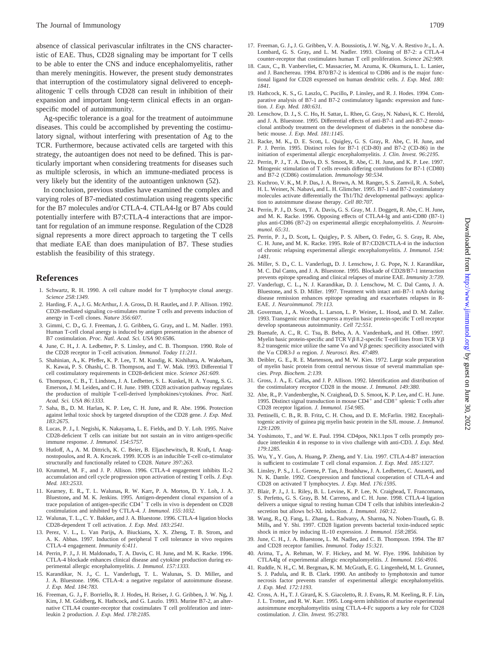absence of classical perivascular infiltrates in the CNS characteristic of EAE. Thus, CD28 signaling may be important for T cells to be able to enter the CNS and induce encephalomyelitis, rather than merely meningitis. However, the present study demonstrates that interruption of the costimulatory signal delivered to encephalitogenic T cells through CD28 can result in inhibition of their expansion and important long-term clinical effects in an organspecific model of autoimmunity.

Ag-specific tolerance is a goal for the treatment of autoimmune diseases. This could be accomplished by preventing the costimulatory signal, without interfering with presentation of Ag to the TCR. Furthermore, because activated cells are targeted with this strategy, the autoantigen does not need to be defined. This is particularly important when considering treatments for diseases such as multiple sclerosis, in which an immune-mediated process is very likely but the identity of the autoantigen unknown (52).

In conclusion, previous studies have examined the complex and varying roles of B7-mediated costimulation using reagents specific for the B7 molecules and/or CTLA-4. CTLA4-Ig or B7 Abs could potentially interfere with B7:CTLA-4 interactions that are important for regulation of an immune response. Regulation of the CD28 signal represents a more direct approach to targeting the T cells that mediate EAE than does manipulation of B7. These studies establish the feasibility of this strategy.

#### **References**

- 1. Schwartz, R. H. 1990. A cell culture model for T lymphocyte clonal anergy. *Science 258:1349.*
- 2. Harding, F. A.**,** J. G. McArthur**,** J. A. Gross**,** D. H. Rautlet**,** and J. P. Allison. 1992. CD28-mediated signaling co-stimulates murine T cells and prevents induction of anergy in T-cell clones. *Nature 356:607*.
- 3. Gimmi, C. D.**,** G. J. Freeman**,** J. G. Gribben**,** G. Gray**,** and L. M. Nadler. 1993. Human T-cell clonal anergy is induced by antigen presentation in the absence of B7 costimulation. *Proc. Natl. Acad. Sci. USA 90:6586.*
- 4. June, C. H.**,** J. A. Ledbetter**,** P. S. Linsley**,** and C. B. Thompson. 1990. Role of the CD28 receptor in T-cell activation. *Immunol. Today 11:211.*
- 5. Shahinian, A.**,** K. Pfeffer**,** K. P. Lee**,** T. M. Kundig, K. Kishihara**,** A. Wakeham**,** K. Kawai**,** P. S. Ohashi**,** C. B. Thompson**,** and T. W. Mak. 1993. Differential T cell costimulatory requirements in CD28-deficient mice. *Science 261:609.*
- 6. Thompson, C. B.**,** T. Lindsten**,** J. A. Ledbetter**,** S. L. Kunkel**,** H. A. Young**,** S. G. Emerson**,** J. M. Leiden**,** and C. H. June. 1989. CD28 activation pathway regulates the production of multiple T-cell-derived lymphokines/cytokines. *Proc. Natl. Acad. Sci. USA 86:1333.*
- 7. Saha, B.**,** D. M. Harlan**,** K. P. Lee**,** C. H. June**,** and R. Abe. 1996. Protection against lethal toxic shock by targeted disruption of the CD28 gene. *J. Exp. Med. 183:2675.*
- 8. Lucas, P. J.**,** I. Negishi**,** K. Nakayama**,** L. E. Fields**,** and D. Y. Loh. 1995. Naive CD28-deficient T cells can initiate but not sustain an in vitro antigen-specific immune response. *J. Immunol. 154:5757.*
- 9. Hutloff, A.**,** A. M. Dittrich**,** K. C. Beier**,** B. Eljaschewitsch**,** R. Kraft**,** I. Anagnostopoulos**,** and R. A. Kroczek. 1999. ICOS is an inducible T-cell co-stimulator structurally and functionally related to CD28. *Nature 397:263.*
- 10. Krummel, M. F., and J. P. Allison. 1996. CTLA-4 engagement inhibits IL-2 accumulation and cell cycle progression upon activation of resting T cells. *J. Exp. Med. 183:2533.*
- 11. Kearney, E. R.**,** T. L. Walunas**,** R. W. Karr**,** P. A. Morton**,** D. Y. Loh**,** J. A. Bluestone**,** and M. K. Jenkins. 1995. Antigen-dependent clonal expansion of a trace population of antigen-specific  $CD4^+$  T cells in vivo is dependent on CD28 costimulation and inhibited by CTLA-4. *J. Immunol. 155:1032.*
- 12. Walunas, T. L.**,** C. Y. Bakker**,** and J. A. Bluestone. 1996. CTLA-4 ligation blocks CD28-dependent T cell activation. *J. Exp. Med. 183:2541.*
- 13. Perez, V. L.**,** L. Van Parijs**,** A. Biuckians**,** X. X. Zheng**,** T. B. Strom**,** and A. K. Abbas. 1997. Induction of peripheral T cell tolerance in vivo requires CTLA-4 engagement. *Immunity 6:411*.
- 14. Perrin, P. J.**,** J. H. Maldonado**,** T. A. Davis**,** C. H. June**,** and M. K. Racke. 1996. CTLA-4 blockade enhances clinical disease and cytokine production during experimental allergic encephalomyelitis. *J. Immunol. 157:1333.*
- 15. Karandikar, N. J.**,** C. L. Vanderlugt**,** T. L. Walunas**,** S. D. Miller**,** and J. A. Bluestone. 1996. CTLA-4: a negative regulator of autoimmune disease. *J. Exp. Med. 184:783.*
- 16. Freeman, G. J.**,** F. Borriello**,** R. J. Hodes**,** H. Reiser**,** J. G. Gribben**,** J. W. Ng**,** J. Kim**,** J. M. Goldberg**,** K. Hathcock**,** and G. Laszlo. 1993. Murine B7-2, an alternative CTLA4 counter-receptor that costimulates T cell proliferation and interleukin 2 production. *J. Exp. Med. 178:2185.*
- 17. Freeman, G. J.**,** J. G. Gribben**,** V. A. Boussiotis**,** J. W. Ng**,** V. A. Restivo Jr.**,** L. A. Lombard**,** G. S. Gray**,** and L. M. Nadler. 1993. Cloning of B7-2: a CTLA-4 counter-receptor that costimulates human T cell proliferation. *Science 262:909.*
- 18. Caux, C.**,** B. Vanbervliet**,** C. Massacrier**,** M. Azuma, K. Okumura**,** L. L. Lanier**,** and J. Banchereau. 1994. B70/B7-2 is identical to CD86 and is the major functional ligand for CD28 expressed on human dendritic cells. *J. Exp. Med. 180: 1841.*
- 19. Hathcock, K. S.**,** G. Laszlo**,** C. Pucillo**,** P. Linsley**,** and R. J. Hodes. 1994. Comparative analysis of B7-1 and B7-2 costimulatory ligands: expression and function. *J. Exp. Med. 180:631.*
- 20. Lenschow, D. J.**,** S. C. Ho**,** H. Sattar**,** L. Rhee**,** G. Gray**,** N. Nabavi**,** K. C. Herold**,** and J. A. Bluestone. 1995. Differential effects of anti-B7-1 and anti-B7-2 monoclonal antibody treatment on the development of diabetes in the nonobese diabetic mouse. *J. Exp. Med. 181:1145.*
- 21. Racke, M. K.**,** D. E. Scott**,** L. Quigley**,** G. S. Gray**,** R. Abe**,** C. H. June**,** and P. J. Perrin. 1995. Distinct roles for B7-1 (CD-80) and B7-2 (CD-86) in the initiation of experimental allergic encephalomyelitis. *J. Clin. Invest. 96:2195.*
- 22. Perrin, P. J.**,** T. A. Davis**,** D. S. Smoot**,** R. Abe**,** C. H. June**,** and K. P. Lee. 1997. Mitogenic stimulation of T cells reveals differing contributions for B7-1 (CD80) and B7-2 (CD86) costimulation. *Immunology 90:534.*
- 23. Kuchroo, V. K.**,** M. P. Das**,** J. A. Brown**,** A. M. Ranger**,** S. S. Zamvil**,** R. A. Sobel**,** H. L. Weiner**,** N. Nabavi**,** and L. H. Glimcher. 1995. B7-1 and B7-2 costimulatory molecules activate differentially the Th1/Th2 developmental pathways: application to autoimmune disease therapy. *Cell 80:707.*
- 24. Perrin, P. J.**,** D. Scott**,** T. A. Davis**,** G. S. Gray, M. J. Doggett**,** R. Abe**,** C. H. June**,** and M. K. Racke. 1996. Opposing effects of CTLA4-Ig and anti-CD80 (B7-1) plus anti-CD86 (B7-2) on experimental allergic encephalomyelitis. *J. Neuroimmunol. 65:31.*
- 25. Perrin, P. J.**,** D. Scott**,** L. Quigley**,** P. S. Albert**,** O. Feder**,** G. S. Gray**,** R. Abe**,** C. H. June**,** and M. K. Racke. 1995. Role of B7:CD28/CTLA-4 in the induction of chronic relapsing experimental allergic encephalomyelitis. *J. Immunol. 154: 1481.*
- 26. Miller, S. D.**,** C. L. Vanderlugt**,** D. J. Lenschow**,** J. G. Pope**,** N. J. Karandikar**,** M. C. Dal Canto**,** and J. A. Bluestone. 1995. Blockade of CD28/B7-1 interaction prevents epitope spreading and clinical relapses of murine EAE. *Immunity 3:739.*
- 27. Vanderlugt, C. L.**,** N. J. Karandikar**,** D. J. Lenschow**,** M. C. Dal Canto**,** J. A. Bluestone**,** and S. D. Miller. 1997. Treatment with intact anti-B7-1 mAb during disease remission enhances epitope spreading and exacerbates relapses in R-EAE. *J. Neuroimmunol. 79:113.*
- 28. Goverman, J.**,** A. Woods**,** L. Larson**,** L. P. Weiner**,** L. Hood**,** and D. M. Zaller. 1993. Transgenic mice that express a myelin basic protein-specific T cell receptor develop spontaneous autoimmunity. *Cell 72:551.*
- 29. Buenafe, A. C.**,** R. C. Tsu**,** B. Bebo**,** A. A. Vandenbark**,** and H. Offner. 1997. Myelin basic protein-specific and TCR V $\beta$  8.2-specific T-cell lines from TCR V $\beta$ 8.2 transgenic mice utilize the same  $V\alpha$  and  $V\beta$  genes: specificity associated with the V<sup>a</sup> CDR3-J <sup>a</sup> region. *J. Neurosci. Res. 47*:*489.*
- 30. Deibler, G. E.**,** R. E. Martenson**,** and M. W. Kies. 1972. Large scale preparation of myelin basic protein from central nervous tissue of several mammalian species. *Prep. Biochem. 2:139.*
- 31. Gross, J. A.**,** E. Callas**,** and J. P. Allison. 1992. Identification and distribution of the costimulatory receptor CD28 in the mouse. *J. Immunol. 149:380.*
- 32. Abe, R.**,** P. Vandenberghe**,** N. Craighead**,** D. S. Smoot**,** K. P. Lee**,** and C. H. June. 1995. Distinct signal transduction in mouse  $CD4^+$  and  $CD8^+$  splenic T cells after CD28 receptor ligation. *J. Immunol. 154:985.*
- 33. Pettinelli, C. B.**,** R. B. Fritz**,** C. H. Chou**,** and D. E. McFarlin. 1982. Encephalitogenic activity of guinea pig myelin basic protein in the SJL mouse. *J. Immunol. 129:1209.*
- 34. Yoshimoto, T., and W. E. Paul. 1994. CD4pos, NK1.1pos T cells promptly produce interleukin 4 in response to in vivo challenge with anti-CD3. *J. Exp. Med. 179*:*1285.*
- 35. Wu, Y.**,** Y. Guo**,** A. Huang**,** P. Zheng**,** and Y. Liu. 1997. CTLA-4-B7 interaction is sufficient to costimulate T cell clonal expansion. *J. Exp. Med. 185:1327.*
- 36. Linsley, P. S.**,** J. L. Greene**,** P. Tan**,** J. Bradshaw**,** J. A. Ledbetter**,** C. Anasetti**,** and N. K. Damle. 1992. Coexpression and functional cooperation of CTLA-4 and CD28 on activated T lymphocytes. *J. Exp. Med. 176:1595.*
- 37. Blair, P. J.**,** J. L. Riley**,** B. L. Levine**,** K. P. Lee, N. Craighead**,** T. Francomano**,** S. Perfetto**,** G. S. Gray**,** B. M. Carreno**,** and C. H. June. 1998. CTLA-4 ligation delivers a unique signal to resting human CD4 T cells that inhibits interleukin-2 secretion but allows bcl-XL induction. *J. Immunol. 160:12.*
- 38. Wang, R.**,** Q. Fang**,** L. Zhang**,** L. Radvany**,** A. Sharma**,** N. Noben-Trauth**,** G. B. Mills**,** and Y. Shi. 1997. CD28 ligation prevents bacterial toxin-induced septic shock in mice by inducing IL-10 expression. *J. Immunol. 158:2856.*
- 39. June, C. H.**,** J. A. Bluestone**,** L. M. Nadler**,** and C. B. Thompson. 1994. The B7 and CD28 receptor families. *Immunol. Today 15:321.*
- 40. Arima, T.**,** A. Rehman, W. F. Hickey**,** and M. W. Flye. 1996. Inhibition by CTLA4Ig of experimental allergic encephalomyelitis. *J. Immunol. 156:4916.*
- 41. Ruddle, N. H.**,** C. M. Bergman**,** K. M. McGrath**,** E. G. Lingenheld**,** M. L. Grunnet**,** S. J. Padula**,** and R. B. Clark. 1990. An antibody to lymphotoxin and tumor necrosis factor prevents transfer of experimental allergic encephalomyelitis. *J. Exp. Med. 172:1193.*
- 42. Cross, A. H.**,** T. J. Girard**,** K. S. Giacoletto**,** R. J. Evans**,** R. M. Keeling**,** R. F. Lin**,** J. L. Trotter**,** and R. W. Karr. 1995. Long-term inhibition of murine experimental autoimmune encephalomyelitis using CTLA-4-Fc supports a key role for CD28 costimulation. *J. Clin. Invest. 95:2783.*